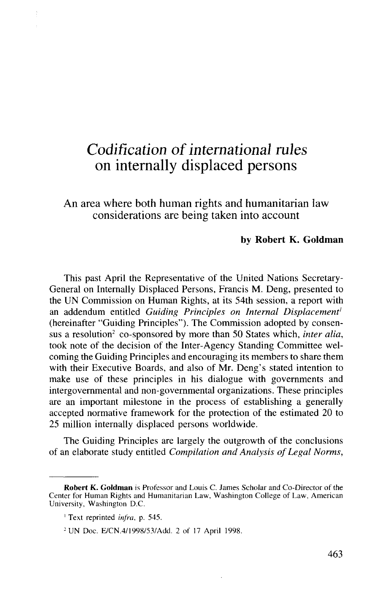## *Codification of international rules* on internally displaced persons

An area where both human rights and humanitarian law considerations are being taken into account

## **by Robert K. Goldman**

This past April the Representative of the United Nations Secretary-General on Internally Displaced Persons, Francis M. Deng, presented to the UN Commission on Human Rights, at its 54th session, a report with an addendum entitled *Guiding Principles on Internal Displacement'* (hereinafter "Guiding Principles"). The Commission adopted by consensus a resolution<sup>2</sup> co-sponsored by more than 50 States which, *inter alia*, took note of the decision of the Inter-Agency Standing Committee welcoming the Guiding Principles and encouraging its members to share them with their Executive Boards, and also of Mr. Deng's stated intention to make use of these principles in his dialogue with governments and intergovernmental and non-governmental organizations. These principles are an important milestone in the process of establishing a generally accepted normative framework for the protection of the estimated 20 to 25 million internally displaced persons worldwide.

The Guiding Principles are largely the outgrowth of the conclusions of an elaborate study entitled *Compilation and Analysis of Legal Norms,*

**Robert K. Goldman** is Professor and Louis C. James Scholar and Co-Director of the Center for Human Rights and Humanitarian Law, Washington College of Law, American University, Washington D.C.

<sup>1</sup> Text reprinted *infra,* p. 545.

<sup>&</sup>lt;sup>2</sup> UN Doc. E/CN.4/1998/53/Add. 2 of 17 April 1998.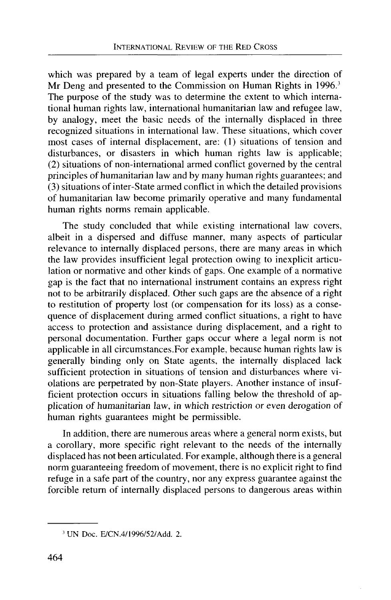which was prepared by a team of legal experts under the direction of Mr Deng and presented to the Commission on Human Rights in 1996.<sup>3</sup> The purpose of the study was to determine the extent to which international human rights law, international humanitarian law and refugee law, by analogy, meet the basic needs of the internally displaced in three recognized situations in international law. These situations, which cover most cases of internal displacement, are: (1) situations of tension and disturbances, or disasters in which human rights law is applicable; (2) situations of non-international armed conflict governed by the central principles of humanitarian law and by many human rights guarantees; and (3) situations of inter-State armed conflict in which the detailed provisions of humanitarian law become primarily operative and many fundamental human rights norms remain applicable.

The study concluded that while existing international law covers, albeit in a dispersed and diffuse manner, many aspects of particular relevance to internally displaced persons, there are many areas in which the law provides insufficient legal protection owing to inexplicit articulation or normative and other kinds of gaps. One example of a normative gap is the fact that no international instrument contains an express right not to be arbitrarily displaced. Other such gaps are the absence of a right to restitution of property lost (or compensation for its loss) as a consequence of displacement during armed conflict situations, a right to have access to protection and assistance during displacement, and a right to personal documentation. Further gaps occur where a legal norm is not applicable in all circumstances.For example, because human rights law is generally binding only on State agents, the internally displaced lack sufficient protection in situations of tension and disturbances where violations are perpetrated by non-State players. Another instance of insufficient protection occurs in situations falling below the threshold of application of humanitarian law, in which restriction or even derogation of human rights guarantees might be permissible.

In addition, there are numerous areas where a general norm exists, but a corollary, more specific right relevant to the needs of the internally displaced has not been articulated. For example, although there is a general norm guaranteeing freedom of movement, there is no explicit right to find refuge in a safe part of the country, nor any express guarantee against the forcible return of internally displaced persons to dangerous areas within

<sup>3</sup> UN Doc. E/CN.4/1996/52/Add. 2.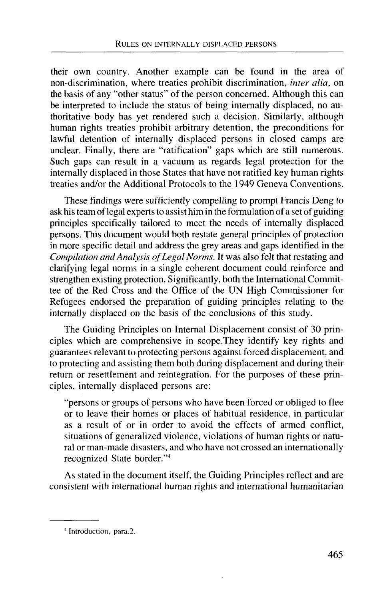their own country. Another example can be found in the area of non-discrimination, where treaties prohibit discrimination, *inter alia,* on the basis of any "other status" of the person concerned. Although this can be interpreted to include the status of being internally displaced, no authoritative body has yet rendered such a decision. Similarly, although human rights treaties prohibit arbitrary detention, the preconditions for lawful detention of internally displaced persons in closed camps are unclear. Finally, there are "ratification" gaps which are still numerous. Such gaps can result in a vacuum as regards legal protection for the internally displaced in those States that have not ratified key human rights treaties and/or the Additional Protocols to the 1949 Geneva Conventions.

These findings were sufficiently compelling to prompt Francis Deng to ask his team of legal experts to assist him in the formulation of a set of guiding principles specifically tailored to meet the needs of internally displaced persons. This document would both restate general principles of protection in more specific detail and address the grey areas and gaps identified in the *Compilation and Analysis of Legal Norms.* It was also felt that restating and clarifying legal norms in a single coherent document could reinforce and strengthen existing protection. Significantly, both the International Committee of the Red Cross and the Office of the UN High Commissioner for Refugees endorsed the preparation of guiding principles relating to the internally displaced on the basis of the conclusions of this study.

The Guiding Principles on Internal Displacement consist of 30 principles which are comprehensive in scope.They identify key rights and guarantees relevant to protecting persons against forced displacement, and to protecting and assisting them both during displacement and during their return or resettlement and reintegration. For the purposes of these principles, internally displaced persons are:

"persons or groups of persons who have been forced or obliged to flee or to leave their homes or places of habitual residence, in particular as a result of or in order to avoid the effects of armed conflict, situations of generalized violence, violations of human rights or natural or man-made disasters, and who have not crossed an internationally recognized State border."<sup>4</sup>

As stated in the document itself, the Guiding Principles reflect and are consistent with international human rights and international humanitarian

<sup>4</sup> Introduction, para.2.